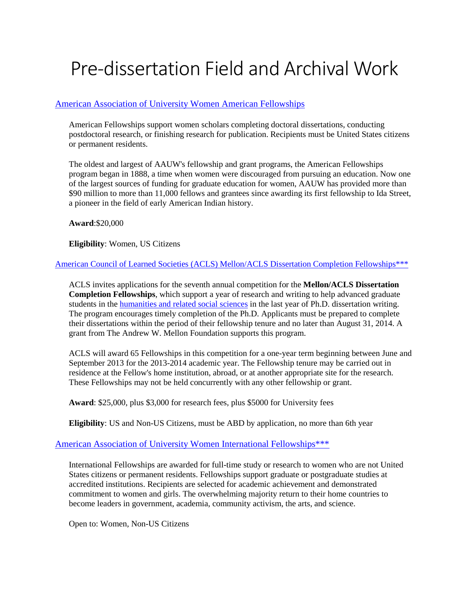# Pre-dissertation Field and Archival Work

# [American Association of University Women American Fellowships](http://www.aauw.org/what-we-do/educational-funding-and-awards/american-fellowships/)

American Fellowships support women scholars completing doctoral dissertations, conducting postdoctoral research, or finishing research for publication. Recipients must be United States citizens or permanent residents.

The oldest and largest of AAUW's fellowship and grant programs, the American Fellowships program began in 1888, a time when women were discouraged from pursuing an education. Now one of the largest sources of funding for graduate education for women, AAUW has provided more than \$90 million to more than 11,000 fellows and grantees since awarding its first fellowship to Ida Street, a pioneer in the field of early American Indian history.

**Award**:\$20,000

**Eligibility**: Women, US Citizens

[American Council of Learned Societies \(ACLS\) Mellon/ACLS Dissertation Completion Fellowships\\*\\*\\*](http://www.acls.org/grants/Default.aspx?id=512)

ACLS invites applications for the seventh annual competition for the **Mellon/ACLS Dissertation Completion Fellowships**, which support a year of research and writing to help advanced graduate students in the [humanities and related social sciences](http://www.acls.org/grants/Default.aspx?id=512) in the last year of Ph.D. dissertation writing. The program encourages timely completion of the Ph.D. Applicants must be prepared to complete their dissertations within the period of their fellowship tenure and no later than August 31, 2014. A grant from The Andrew W. Mellon Foundation supports this program.

ACLS will award 65 Fellowships in this competition for a one-year term beginning between June and September 2013 for the 2013-2014 academic year. The Fellowship tenure may be carried out in residence at the Fellow's home institution, abroad, or at another appropriate site for the research. These Fellowships may not be held concurrently with any other fellowship or grant.

**Award**: \$25,000, plus \$3,000 for research fees, plus \$5000 for University fees

**Eligibility**: US and Non-US Citizens, must be ABD by application, no more than 6th year

# [American Association of University Women](http://www.aauw.org/what-we-do/educational-funding-and-awards/international-fellowships/) International Fellowships\*\*\*

International Fellowships are awarded for full-time study or research to women who are not United States citizens or permanent residents. Fellowships support graduate or postgraduate studies at accredited institutions. Recipients are selected for academic achievement and demonstrated commitment to women and girls. The overwhelming majority return to their home countries to become leaders in government, academia, community activism, the arts, and science.

Open to: Women, Non-US Citizens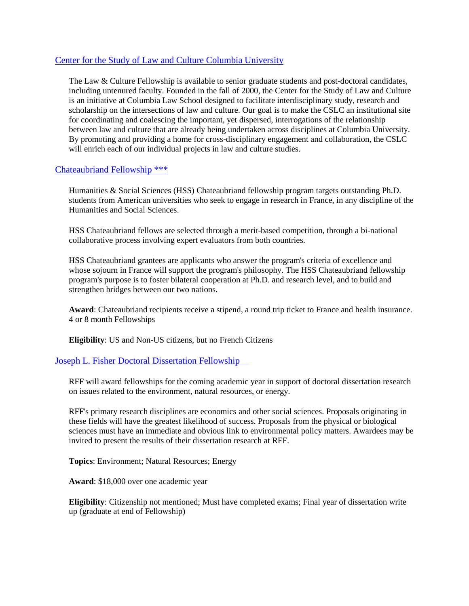## Center for the Study of Law and Culture Columbia University

The Law & Culture Fellowship is available to senior graduate students and post-doctoral candidates, including untenured faculty. Founded in the fall of 2000, the Center for the Study of Law and Culture is an initiative at Columbia Law School designed to facilitate interdisciplinary study, research and scholarship on the intersections of law and culture. Our goal is to make the CSLC an institutional site for coordinating and coalescing the important, yet dispersed, interrogations of the relationship between law and culture that are already being undertaken across disciplines at Columbia University. By promoting and providing a home for cross-disciplinary engagement and collaboration, the CSLC will enrich each of our individual projects in law and culture studies.

## [Chateaubriand Fellowship \\*\\*\\*](https://www.france-science.org/The-Chateaubriand-Fellowship)

Humanities & Social Sciences (HSS) Chateaubriand fellowship program targets outstanding Ph.D. students from American universities who seek to engage in research in France, in any discipline of the Humanities and Social Sciences.

HSS Chateaubriand fellows are selected through a merit-based competition, through a bi-national collaborative process involving expert evaluators from both countries.

HSS Chateaubriand grantees are applicants who answer the program's criteria of excellence and whose sojourn in France will support the program's philosophy. The HSS Chateaubriand fellowship program's purpose is to foster bilateral cooperation at Ph.D. and research level, and to build and strengthen bridges between our two nations.

**Award**: Chateaubriand recipients receive a stipend, a round trip ticket to France and health insurance. 4 or 8 month Fellowships

**Eligibility**: US and Non-US citizens, but no French Citizens

## [Joseph L. Fisher Doctoral Dissertation Fellowship](http://www.rff.org/about/joseph-l-fisher-doctoral-dissertation-fellowships)

RFF will award fellowships for the coming academic year in support of doctoral dissertation research on issues related to the environment, natural resources, or energy.

RFF's primary research disciplines are economics and other social sciences. Proposals originating in these fields will have the greatest likelihood of success. Proposals from the physical or biological sciences must have an immediate and obvious link to environmental policy matters. Awardees may be invited to present the results of their dissertation research at RFF.

**Topics**: Environment; Natural Resources; Energy

**Award**: \$18,000 over one academic year

**Eligibility**: Citizenship not mentioned; Must have completed exams; Final year of dissertation write up (graduate at end of Fellowship)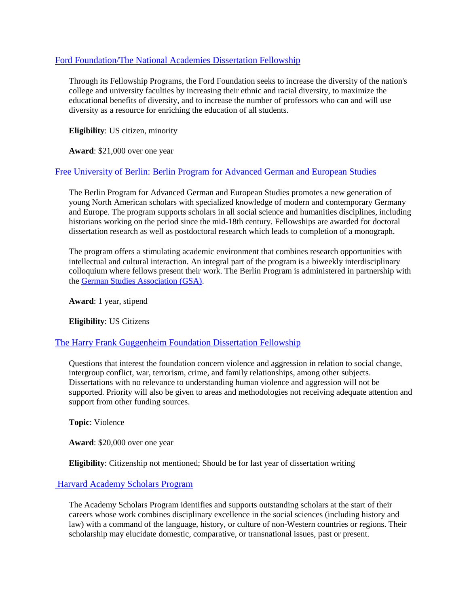## [Ford Foundation/The National Academies Dissertation Fellowship](http://sites.nationalacademies.org/PGA/FordFellowships/index.htm)

Through its Fellowship Programs, the Ford Foundation seeks to increase the diversity of the nation's college and university faculties by increasing their ethnic and racial diversity, to maximize the educational benefits of diversity, and to increase the number of professors who can and will use diversity as a resource for enriching the education of all students.

**Eligibility**: US citizen, minority

**Award**: \$21,000 over one year

# [Free University of Berlin: Berlin Program for Advanced German and European Studies](http://www.fu-berlin.de/en/sites/bprogram/)

The Berlin Program for Advanced German and European Studies promotes a new generation of young North American scholars with specialized knowledge of modern and contemporary Germany and Europe. The program supports scholars in all social science and humanities disciplines, including historians working on the period since the mid-18th century. Fellowships are awarded for doctoral dissertation research as well as postdoctoral research which leads to completion of a monograph.

The program offers a stimulating academic environment that combines research opportunities with intellectual and cultural interaction. An integral part of the program is a biweekly interdisciplinary colloquium where fellows present their work. The Berlin Program is administered in partnership with the [German Studies Association \(GSA\).](http://www.thegsa.org/)

**Award**: 1 year, stipend

**Eligibility**: US Citizens

## [The Harry Frank Guggenheim Foundation Dissertation Fellowship](http://www.hfg.org/df/guidelines.htm)

Questions that interest the foundation concern violence and aggression in relation to social change, intergroup conflict, war, terrorism, crime, and family relationships, among other subjects. Dissertations with no relevance to understanding human violence and aggression will not be supported. Priority will also be given to areas and methodologies not receiving adequate attention and support from other funding sources.

**Topic**: Violence

**Award**: \$20,000 over one year

**Eligibility**: Citizenship not mentioned; Should be for last year of dissertation writing

# [Harvard Academy Scholars Program](http://academy.wcfia.harvard.edu/programs/academy_scholar)

The Academy Scholars Program identifies and supports outstanding scholars at the start of their careers whose work combines disciplinary excellence in the social sciences (including history and law) with a command of the language, history, or culture of non-Western countries or regions. Their scholarship may elucidate domestic, comparative, or transnational issues, past or present.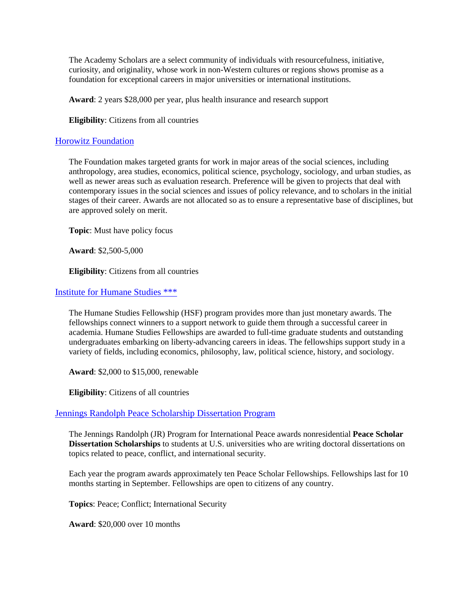The Academy Scholars are a select community of individuals with resourcefulness, initiative, curiosity, and originality, whose work in non-Western cultures or regions shows promise as a foundation for exceptional careers in major universities or international institutions.

**Award**: 2 years \$28,000 per year, plus health insurance and research support

**Eligibility**: Citizens from all countries

## [Horowitz Foundation](http://www.horowitz-foundation.org/grant-info)

The Foundation makes targeted grants for work in major areas of the social sciences, including anthropology, area studies, economics, political science, psychology, sociology, and urban studies, as well as newer areas such as evaluation research. Preference will be given to projects that deal with contemporary issues in the social sciences and issues of policy relevance, and to scholars in the initial stages of their career. Awards are not allocated so as to ensure a representative base of disciplines, but are approved solely on merit.

**Topic**: Must have policy focus

**Award**: \$2,500-5,000

**Eligibility**: Citizens from all countries

#### [Institute for Humane Studies \\*\\*\\*](https://theihs.org/funding/humane-studies-fellowship/)

The Humane Studies Fellowship (HSF) program provides more than just monetary awards. The fellowships connect winners to a support network to guide them through a successful career in academia. Humane Studies Fellowships are awarded to full-time graduate students and outstanding undergraduates embarking on liberty-advancing careers in ideas. The fellowships support study in a variety of fields, including economics, philosophy, law, political science, history, and sociology.

**Award**: \$2,000 to \$15,000, renewable

**Eligibility**: Citizens of all countries

## [Jennings Randolph Peace Scholarship Dissertation Program](http://www.usip.org/grants-fellowships/fellowship-opportunities/jennings-randolph-peace-scholarship-dissertation-program)

The Jennings Randolph (JR) Program for International Peace awards nonresidential **Peace Scholar Dissertation Scholarships** to students at U.S. universities who are writing doctoral dissertations on topics related to peace, conflict, and international security.

Each year the program awards approximately ten Peace Scholar Fellowships. Fellowships last for 10 months starting in September. Fellowships are open to citizens of any country.

**Topics**: Peace; Conflict; International Security

**Award**: \$20,000 over 10 months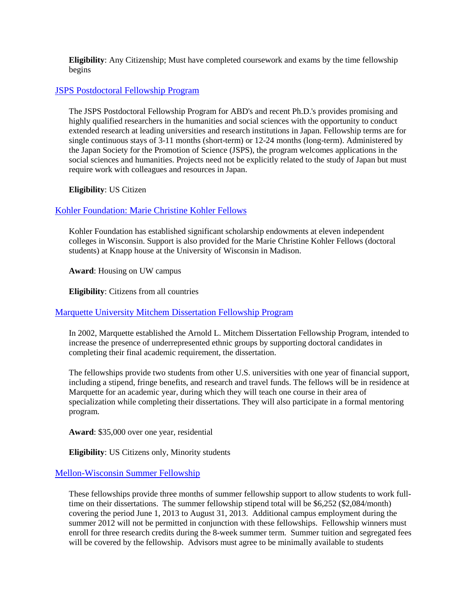**Eligibility**: Any Citizenship; Must have completed coursework and exams by the time fellowship begins

## [JSPS Postdoctoral Fellowship Program](http://www.ssrc.org/fellowships/view/jsps-fellowship/)

The JSPS Postdoctoral Fellowship Program for ABD's and recent Ph.D.'s provides promising and highly qualified researchers in the humanities and social sciences with the opportunity to conduct extended research at leading universities and research institutions in Japan. Fellowship terms are for single continuous stays of 3-11 months (short-term) or 12-24 months (long-term). Administered by the Japan Society for the Promotion of Science (JSPS), the program welcomes applications in the social sciences and humanities. Projects need not be explicitly related to the study of Japan but must require work with colleagues and resources in Japan.

**Eligibility**: US Citizen

## [Kohler Foundation: Marie Christine Kohler Fellows](http://wid.wisc.edu/fellows/marie-christine-kohler-fellows-at-wid/)

Kohler Foundation has established significant scholarship endowments at eleven independent colleges in Wisconsin. Support is also provided for the Marie Christine Kohler Fellows (doctoral students) at Knapp house at the University of Wisconsin in Madison.

**Award**: Housing on UW campus

**Eligibility**: Citizens from all countries

## [Marquette University Mitchem Dissertation Fellowship Program](http://www.marquette.edu/provost/mitchem-dissertation-program.php)

In 2002, Marquette established the Arnold L. Mitchem Dissertation Fellowship Program, intended to increase the presence of underrepresented ethnic groups by supporting doctoral candidates in completing their final academic requirement, the dissertation.

The fellowships provide two students from other U.S. universities with one year of financial support, including a stipend, fringe benefits, and research and travel funds. The fellows will be in residence at Marquette for an academic year, during which they will teach one course in their area of specialization while completing their dissertations. They will also participate in a formal mentoring program.

**Award**: \$35,000 over one year, residential

**Eligibility**: US Citizens only, Minority students

## [Mellon-Wisconsin Summer Fellowship](https://kb.wisc.edu/gradsch/page.php?id=40254)

These fellowships provide three months of summer fellowship support to allow students to work fulltime on their dissertations. The summer fellowship stipend total will be \$6,252 (\$2,084/month) covering the period June 1, 2013 to August 31, 2013. Additional campus employment during the summer 2012 will not be permitted in conjunction with these fellowships. Fellowship winners must enroll for three research credits during the 8-week summer term. Summer tuition and segregated fees will be covered by the fellowship. Advisors must agree to be minimally available to students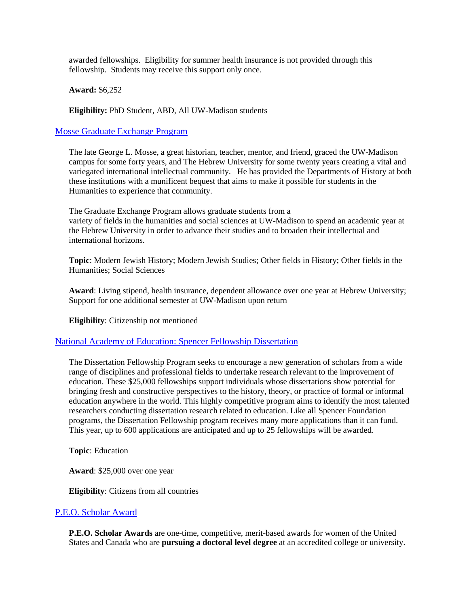awarded fellowships. Eligibility for summer health insurance is not provided through this fellowship. Students may receive this support only once.

**Award:** \$6,252

**Eligibility:** PhD Student, ABD, All UW-Madison students

## [Mosse Graduate Exchange Program](http://mosseprogram.wisc.edu/grad_student_exchange.htm)

The late George L. Mosse, a great historian, teacher, mentor, and friend, graced the UW-Madison campus for some forty years, and The Hebrew University for some twenty years creating a vital and variegated international intellectual community. He has provided the Departments of History at both these institutions with a munificent bequest that aims to make it possible for students in the Humanities to experience that community.

The Graduate Exchange Program allows graduate students from a variety of fields in the humanities and social sciences at UW-Madison to spend an academic year at the Hebrew University in order to advance their studies and to broaden their intellectual and international horizons.

**Topic**: Modern Jewish History; Modern Jewish Studies; Other fields in History; Other fields in the Humanities; Social Sciences

**Award**: Living stipend, health insurance, dependent allowance over one year at Hebrew University; Support for one additional semester at UW-Madison upon return

**Eligibility**: Citizenship not mentioned

## [National Academy of Education: Spencer Fellowship Dissertation](http://www.spencer.org/dissertation-fellowships-1)

The Dissertation Fellowship Program seeks to encourage a new generation of scholars from a wide range of disciplines and professional fields to undertake research relevant to the improvement of education. These \$25,000 fellowships support individuals whose dissertations show potential for bringing fresh and constructive perspectives to the history, theory, or practice of formal or informal education anywhere in the world. This highly competitive program aims to identify the most talented researchers conducting dissertation research related to education. Like all Spencer Foundation programs, the Dissertation Fellowship program receives many more applications than it can fund. This year, up to 600 applications are anticipated and up to 25 fellowships will be awarded.

**Topic**: Education

**Award**: \$25,000 over one year

**Eligibility**: Citizens from all countries

#### [P.E.O. Scholar Award](http://www.peointernational.org/peo-projectsphilanthropies)

**P.E.O. Scholar Awards** are one-time, competitive, merit-based awards for women of the United States and Canada who are **pursuing a doctoral level degree** at an accredited college or university.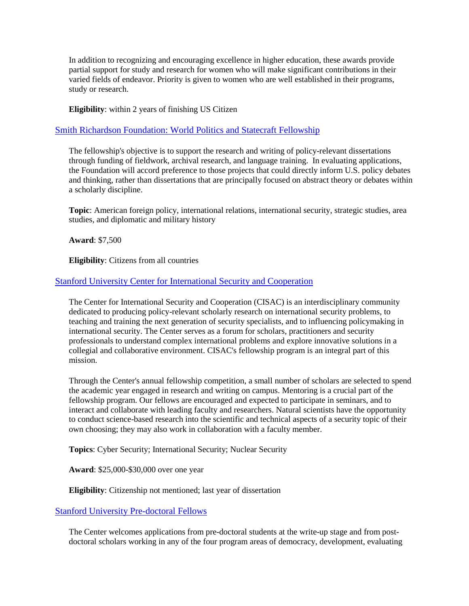In addition to recognizing and encouraging excellence in higher education, these awards provide partial support for study and research for women who will make significant contributions in their varied fields of endeavor. Priority is given to women who are well established in their programs, study or research.

**Eligibility**: within 2 years of finishing US Citizen

# [Smith Richardson Foundation: World Politics and Statecraft Fellowship](https://www.srf.org/programs/international-security-foreign-policy/world-politics-statecraft-fellowship/)

The fellowship's objective is to support the research and writing of policy-relevant dissertations through funding of fieldwork, archival research, and language training. In evaluating applications, the Foundation will accord preference to those projects that could directly inform U.S. policy debates and thinking, rather than dissertations that are principally focused on abstract theory or debates within a scholarly discipline.

**Topic**: American foreign policy, international relations, international security, strategic studies, area studies, and diplomatic and military history

**Award**: \$7,500

**Eligibility**: Citizens from all countries

# [Stanford University Center for International Security and Cooperation](http://cisac.fsi.stanford.edu/docs/cisac_fellowships)

The Center for International Security and Cooperation (CISAC) is an interdisciplinary community dedicated to producing policy-relevant scholarly research on international security problems, to teaching and training the next generation of security specialists, and to influencing policymaking in international security. The Center serves as a forum for scholars, practitioners and security professionals to understand complex international problems and explore innovative solutions in a collegial and collaborative environment. CISAC's fellowship program is an integral part of this mission.

Through the Center's annual fellowship competition, a small number of scholars are selected to spend the academic year engaged in research and writing on campus. Mentoring is a crucial part of the fellowship program. Our fellows are encouraged and expected to participate in seminars, and to interact and collaborate with leading faculty and researchers. Natural scientists have the opportunity to conduct science-based research into the scientific and technical aspects of a security topic of their own choosing; they may also work in collaboration with a faculty member.

**Topics**: Cyber Security; International Security; Nuclear Security

**Award**: \$25,000-\$30,000 over one year

**Eligibility**: Citizenship not mentioned; last year of dissertation

## [Stanford University Pre-doctoral Fellows](http://cddrl.fsi.stanford.edu/fellowships/cddrl_fellowships/)

The Center welcomes applications from pre-doctoral students at the write-up stage and from postdoctoral scholars working in any of the four program areas of democracy, development, evaluating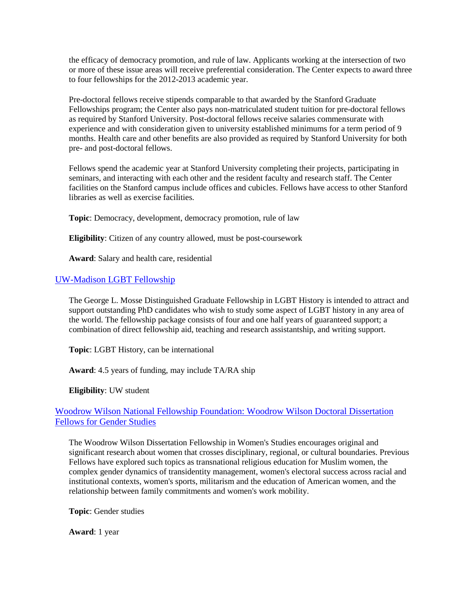the efficacy of democracy promotion, and rule of law. Applicants working at the intersection of two or more of these issue areas will receive preferential consideration. The Center expects to award three to four fellowships for the 2012-2013 academic year.

Pre-doctoral fellows receive stipends comparable to that awarded by the Stanford Graduate Fellowships program; the Center also pays non-matriculated student tuition for pre-doctoral fellows as required by Stanford University. Post-doctoral fellows receive salaries commensurate with experience and with consideration given to university established minimums for a term period of 9 months. Health care and other benefits are also provided as required by Stanford University for both pre- and post-doctoral fellows.

Fellows spend the academic year at Stanford University completing their projects, participating in seminars, and interacting with each other and the resident faculty and research staff. The Center facilities on the Stanford campus include offices and cubicles. Fellows have access to other Stanford libraries as well as exercise facilities.

**Topic**: Democracy, development, democracy promotion, rule of law

**Eligibility**: Citizen of any country allowed, must be post-coursework

**Award**: Salary and health care, residential

# [UW-Madison LGBT Fellowship](http://mosseprogram.wisc.edu/fellowships.htm)

The George L. Mosse Distinguished Graduate Fellowship in LGBT History is intended to attract and support outstanding PhD candidates who wish to study some aspect of LGBT history in any area of the world. The fellowship package consists of four and one half years of guaranteed support; a combination of direct fellowship aid, teaching and research assistantship, and writing support.

**Topic**: LGBT History, can be international

**Award**: 4.5 years of funding, may include TA/RA ship

**Eligibility**: UW student

# [Woodrow Wilson National Fellowship Foundation: Woodrow Wilson Doctoral Dissertation](http://woodrow.org/fellowships/womens-studies/)  [Fellows for Gender Studies](http://woodrow.org/fellowships/womens-studies/)

The Woodrow Wilson Dissertation Fellowship in Women's Studies encourages original and significant research about women that crosses disciplinary, regional, or cultural boundaries. Previous Fellows have explored such topics as transnational religious education for Muslim women, the complex gender dynamics of transidentity management, women's electoral success across racial and institutional contexts, women's sports, militarism and the education of American women, and the relationship between family commitments and women's work mobility.

**Topic**: Gender studies

**Award**: 1 year